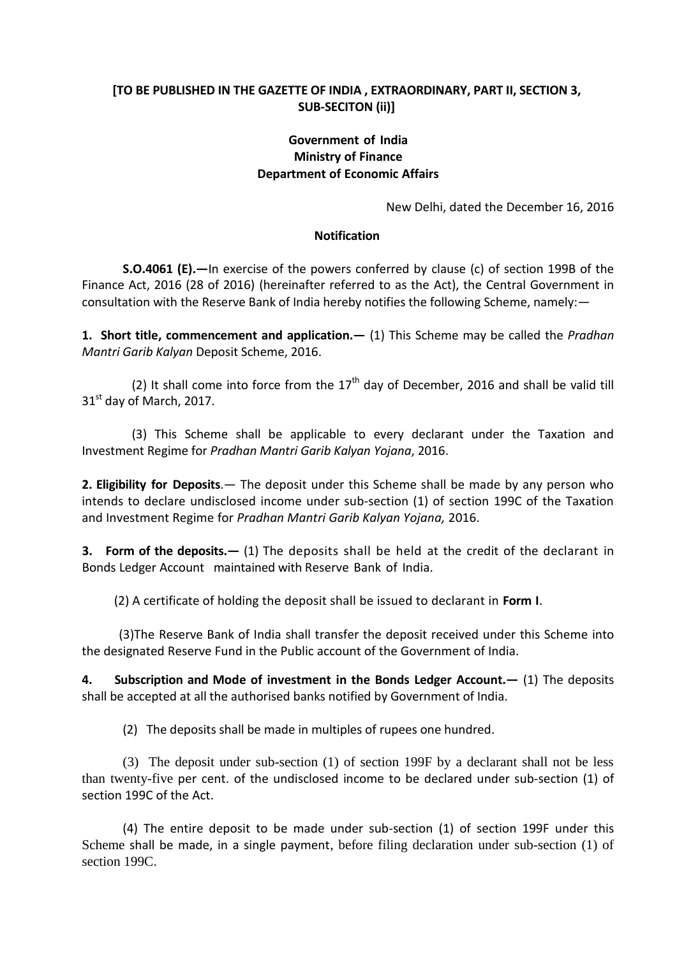# **[TO BE PUBLISHED IN THE GAZETTE OF INDIA , EXTRAORDINARY, PART II, SECTION 3, SUB-SECITON (ii)]**

# **Government of India Ministry of Finance Department of Economic Affairs**

New Delhi, dated the December 16, 2016

## **Notification**

**S.O.4061 (E).—**In exercise of the powers conferred by clause (c) of section 199B of the Finance Act, 2016 (28 of 2016) (hereinafter referred to as the Act), the Central Government in consultation with the Reserve Bank of India hereby notifies the following Scheme, namely:—

**1. Short title, commencement and application.—** (1) This Scheme may be called the *Pradhan Mantri Garib Kalyan* Deposit Scheme, 2016.

(2) It shall come into force from the  $17<sup>th</sup>$  day of December, 2016 and shall be valid till  $31<sup>st</sup>$  day of March, 2017.

 (3) This Scheme shall be applicable to every declarant under the Taxation and Investment Regime for *Pradhan Mantri Garib Kalyan Yojana*, 2016.

**2. Eligibility for Deposits**.— The deposit under this Scheme shall be made by any person who intends to declare undisclosed income under sub-section (1) of section 199C of the Taxation and Investment Regime for *Pradhan Mantri Garib Kalyan Yojana,* 2016.

**3. Form of the deposits.—** (1) The deposits shall be held at the credit of the declarant in Bonds Ledger Account maintained with Reserve Bank of India.

(2) A certificate of holding the deposit shall be issued to declarant in **Form I**.

 (3)The Reserve Bank of India shall transfer the deposit received under this Scheme into the designated Reserve Fund in the Public account of the Government of India.

**4. Subscription and Mode of investment in the Bonds Ledger Account.—** (1) The deposits shall be accepted at all the authorised banks notified by Government of India.

(2) The deposits shall be made in multiples of rupees one hundred.

(3) The deposit under sub-section (1) of section 199F by a declarant shall not be less than twenty-five per cent. of the undisclosed income to be declared under sub-section (1) of section 199C of the Act.

(4) The entire deposit to be made under sub-section (1) of section 199F under this Scheme shall be made, in a single payment, before filing declaration under sub-section (1) of section 199C.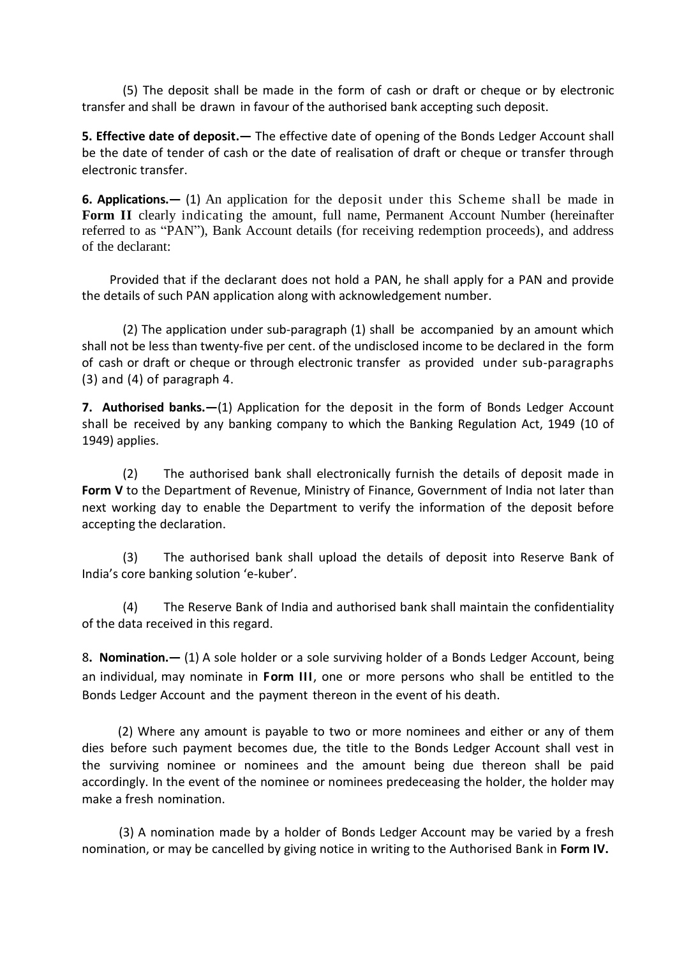(5) The deposit shall be made in the form of cash or draft or cheque or by electronic transfer and shall be drawn in favour of the authorised bank accepting such deposit.

**5. Effective date of deposit.—** The effective date of opening of the Bonds Ledger Account shall be the date of tender of cash or the date of realisation of draft or cheque or transfer through electronic transfer.

**6. Applications.—** (1) An application for the deposit under this Scheme shall be made in **Form II** clearly indicating the amount, full name, Permanent Account Number (hereinafter referred to as "PAN"), Bank Account details (for receiving redemption proceeds), and address of the declarant:

 Provided that if the declarant does not hold a PAN, he shall apply for a PAN and provide the details of such PAN application along with acknowledgement number.

(2) The application under sub-paragraph (1) shall be accompanied by an amount which shall not be less than twenty-five per cent. of the undisclosed income to be declared in the form of cash or draft or cheque or through electronic transfer as provided under sub-paragraphs (3) and (4) of paragraph 4.

**7. Authorised banks.—**(1) Application for the deposit in the form of Bonds Ledger Account shall be received by any banking company to which the Banking Regulation Act, 1949 (10 of 1949) applies.

(2) The authorised bank shall electronically furnish the details of deposit made in **Form V** to the Department of Revenue, Ministry of Finance, Government of India not later than next working day to enable the Department to verify the information of the deposit before accepting the declaration.

(3) The authorised bank shall upload the details of deposit into Reserve Bank of India's core banking solution 'e-kuber'.

(4) The Reserve Bank of India and authorised bank shall maintain the confidentiality of the data received in this regard.

8**. Nomination.—** (1) A sole holder or a sole surviving holder of a Bonds Ledger Account, being an individual, may nominate in **Form III**, one or more persons who shall be entitled to the Bonds Ledger Account and the payment thereon in the event of his death.

 (2) Where any amount is payable to two or more nominees and either or any of them dies before such payment becomes due, the title to the Bonds Ledger Account shall vest in the surviving nominee or nominees and the amount being due thereon shall be paid accordingly. In the event of the nominee or nominees predeceasing the holder, the holder may make a fresh nomination.

 (3) A nomination made by a holder of Bonds Ledger Account may be varied by a fresh nomination, or may be cancelled by giving notice in writing to the Authorised Bank in **Form IV.**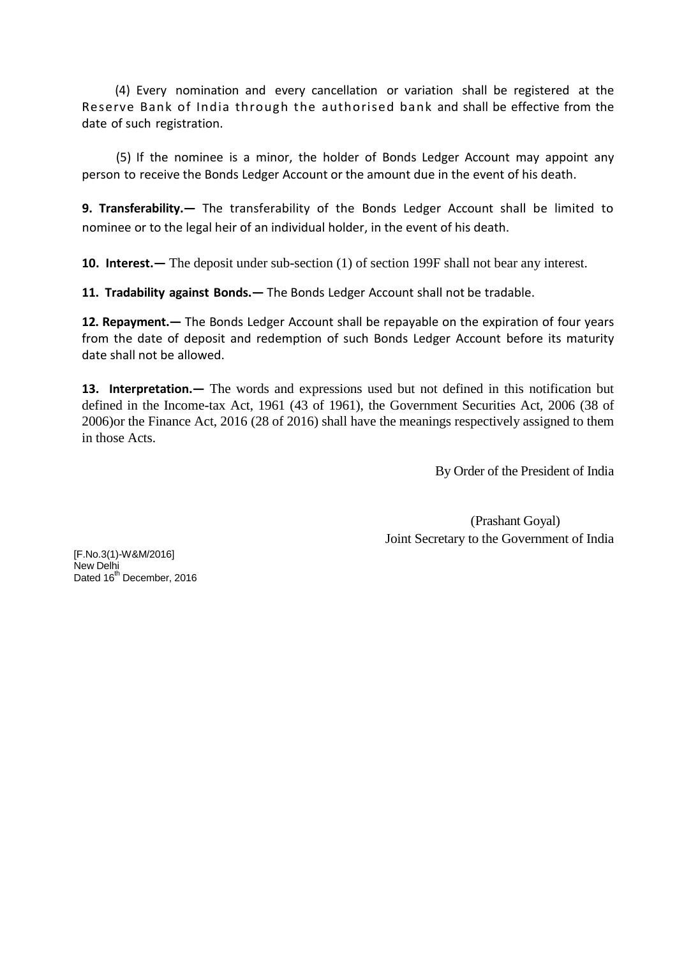(4) Every nomination and every cancellation or variation shall be registered at the Reserve Bank of India through the authorised bank and shall be effective from the date of such registration.

 (5) If the nominee is a minor, the holder of Bonds Ledger Account may appoint any person to receive the Bonds Ledger Account or the amount due in the event of his death.

**9. Transferability.—** The transferability of the Bonds Ledger Account shall be limited to nominee or to the legal heir of an individual holder, in the event of his death.

**10. Interest.—** The deposit under sub-section (1) of section 199F shall not bear any interest.

**11. Tradability against Bonds.—** The Bonds Ledger Account shall not be tradable.

**12. Repayment.—** The Bonds Ledger Account shall be repayable on the expiration of four years from the date of deposit and redemption of such Bonds Ledger Account before its maturity date shall not be allowed.

**13. Interpretation.—** The words and expressions used but not defined in this notification but defined in the Income-tax Act, 1961 (43 of 1961), the Government Securities Act, 2006 (38 of 2006)or the Finance Act, 2016 (28 of 2016) shall have the meanings respectively assigned to them in those Acts.

By Order of the President of India

 (Prashant Goyal) Joint Secretary to the Government of India

[F.No.3(1)-W&M/2016] New Delhi Dated 16<sup>th</sup> December, 2016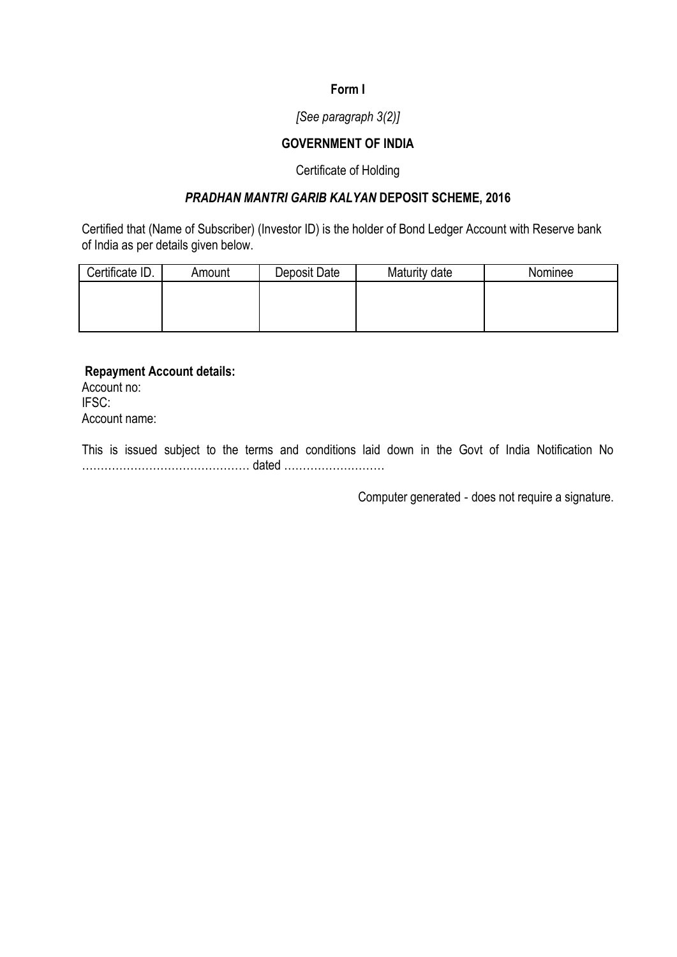## **Form I**

## *[See paragraph 3(2)]*

## **GOVERNMENT OF INDIA**

### Certificate of Holding

# *PRADHAN MANTRI GARIB KALYAN* **DEPOSIT SCHEME, 2016**

Certified that (Name of Subscriber) (Investor ID) is the holder of Bond Ledger Account with Reserve bank of India as per details given below.

| Certificate ID. | Amount | Deposit Date | Maturity date | Nominee |  |  |  |
|-----------------|--------|--------------|---------------|---------|--|--|--|
|                 |        |              |               |         |  |  |  |
|                 |        |              |               |         |  |  |  |
|                 |        |              |               |         |  |  |  |

**Repayment Account details:**  Account no: IFSC: Account name:

This is issued subject to the terms and conditions laid down in the Govt of India Notification No ……………………………………… dated ………………………

Computer generated ‐ does not require a signature.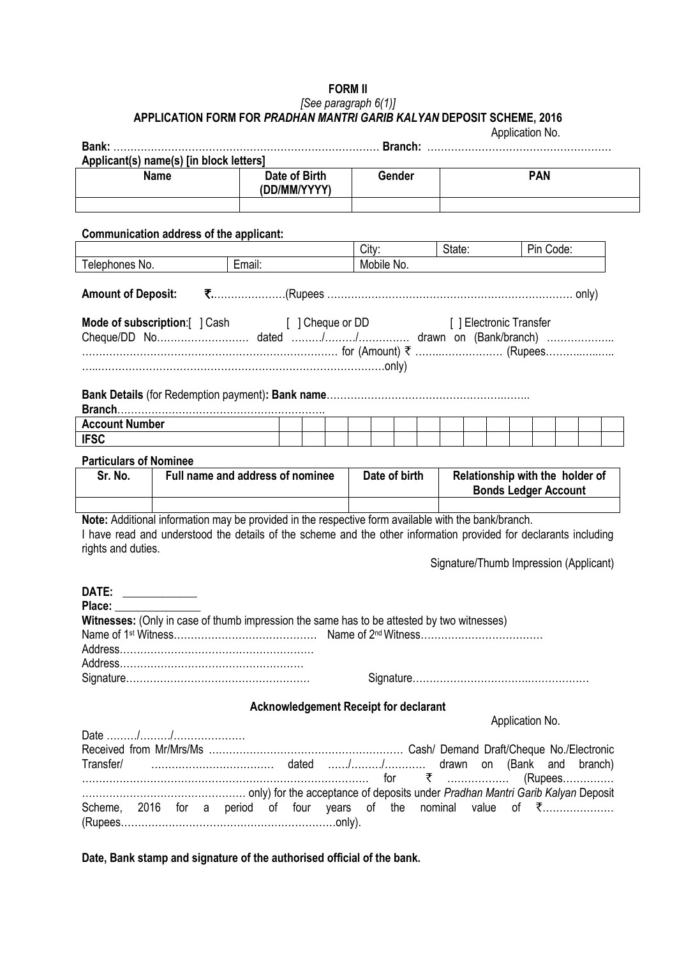#### **FORM II** *[See paragraph 6(1)]* **APPLICATION FORM FOR** *PRADHAN MANTRI GARIB KALYAN* **DEPOSIT SCHEME, 2016**

|                                                                                         |                                                                                                                                                       |                                              |        |                                            |     |               |  |                                        |                                 |                             | Application No. |  |           |         |  |
|-----------------------------------------------------------------------------------------|-------------------------------------------------------------------------------------------------------------------------------------------------------|----------------------------------------------|--------|--------------------------------------------|-----|---------------|--|----------------------------------------|---------------------------------|-----------------------------|-----------------|--|-----------|---------|--|
| Applicant(s) name(s) [in block letters]<br><b>Name</b><br>Date of Birth<br>(DD/MM/YYYY) |                                                                                                                                                       |                                              | Gender |                                            |     | <b>PAN</b>    |  |                                        |                                 |                             |                 |  |           |         |  |
|                                                                                         | Communication address of the applicant:                                                                                                               |                                              |        |                                            |     |               |  |                                        |                                 |                             |                 |  |           |         |  |
|                                                                                         |                                                                                                                                                       |                                              |        | City:<br>State:<br>Pin Code:<br>Mobile No. |     |               |  |                                        |                                 |                             |                 |  |           |         |  |
| Telephones No.                                                                          |                                                                                                                                                       | Email:                                       |        |                                            |     |               |  |                                        |                                 |                             |                 |  |           |         |  |
| <b>Amount of Deposit:</b>                                                               |                                                                                                                                                       |                                              |        |                                            |     |               |  |                                        |                                 |                             |                 |  |           |         |  |
|                                                                                         | <b>Mode of subscription:</b> [ ] Cash [ ] Cheque or DD [ ] Electronic Transfer<br>…………………………………………………………………… for (Amount) ₹ ………………………… (Rupees………………… |                                              |        |                                            |     |               |  |                                        |                                 |                             |                 |  |           |         |  |
|                                                                                         |                                                                                                                                                       |                                              |        |                                            |     |               |  |                                        |                                 |                             |                 |  |           |         |  |
|                                                                                         |                                                                                                                                                       |                                              |        |                                            |     |               |  |                                        |                                 |                             |                 |  |           |         |  |
| <b>Account Number</b>                                                                   |                                                                                                                                                       |                                              |        |                                            |     |               |  |                                        |                                 |                             |                 |  |           |         |  |
| <b>IFSC</b>                                                                             |                                                                                                                                                       |                                              |        |                                            |     |               |  |                                        |                                 |                             |                 |  |           |         |  |
| <b>Particulars of Nominee</b>                                                           |                                                                                                                                                       |                                              |        |                                            |     |               |  |                                        |                                 |                             |                 |  |           |         |  |
| Sr. No.                                                                                 | Full name and address of nominee                                                                                                                      |                                              |        |                                            |     | Date of birth |  |                                        | Relationship with the holder of | <b>Bonds Ledger Account</b> |                 |  |           |         |  |
|                                                                                         | Note: Additional information may be provided in the respective form available with the bank/branch.                                                   |                                              |        |                                            |     |               |  |                                        |                                 |                             |                 |  |           |         |  |
|                                                                                         | I have read and understood the details of the scheme and the other information provided for declarants including                                      |                                              |        |                                            |     |               |  |                                        |                                 |                             |                 |  |           |         |  |
| rights and duties.                                                                      |                                                                                                                                                       |                                              |        |                                            |     |               |  |                                        |                                 |                             |                 |  |           |         |  |
|                                                                                         |                                                                                                                                                       |                                              |        |                                            |     |               |  | Signature/Thumb Impression (Applicant) |                                 |                             |                 |  |           |         |  |
| DATE: ___________                                                                       |                                                                                                                                                       |                                              |        |                                            |     |               |  |                                        |                                 |                             |                 |  |           |         |  |
| Place:                                                                                  |                                                                                                                                                       |                                              |        |                                            |     |               |  |                                        |                                 |                             |                 |  |           |         |  |
|                                                                                         | Witnesses: (Only in case of thumb impression the same has to be attested by two witnesses)                                                            |                                              |        |                                            |     |               |  |                                        |                                 |                             |                 |  |           |         |  |
| Name of 1 <sup>st</sup> Witness.                                                        | Mame of 2 <sup>nd</sup> Witness.                                                                                                                      |                                              |        |                                            |     |               |  |                                        |                                 |                             |                 |  |           |         |  |
|                                                                                         |                                                                                                                                                       |                                              |        |                                            |     |               |  |                                        |                                 |                             |                 |  |           |         |  |
|                                                                                         |                                                                                                                                                       |                                              |        |                                            |     |               |  |                                        |                                 |                             |                 |  |           |         |  |
|                                                                                         |                                                                                                                                                       |                                              |        |                                            |     |               |  |                                        |                                 |                             |                 |  |           |         |  |
|                                                                                         |                                                                                                                                                       | <b>Acknowledgement Receipt for declarant</b> |        |                                            |     |               |  |                                        |                                 |                             |                 |  |           |         |  |
|                                                                                         |                                                                                                                                                       |                                              |        |                                            |     |               |  |                                        |                                 |                             | Application No. |  |           |         |  |
|                                                                                         |                                                                                                                                                       |                                              |        |                                            |     |               |  |                                        |                                 |                             |                 |  |           |         |  |
| Transfer/                                                                               |                                                                                                                                                       |                                              |        |                                            |     |               |  | drawn on (Bank and                     |                                 |                             |                 |  |           | branch) |  |
|                                                                                         |                                                                                                                                                       |                                              |        |                                            | for |               |  | ₹ ………………                               |                                 |                             |                 |  | $(Rupees$ |         |  |
|                                                                                         |                                                                                                                                                       |                                              |        |                                            |     |               |  |                                        |                                 |                             |                 |  |           |         |  |
| Scheme, 2016 for a period of four years of the nominal value of ₹                       |                                                                                                                                                       |                                              |        |                                            |     |               |  |                                        |                                 |                             |                 |  |           |         |  |

**Date, Bank stamp and signature of the authorised official of the bank.**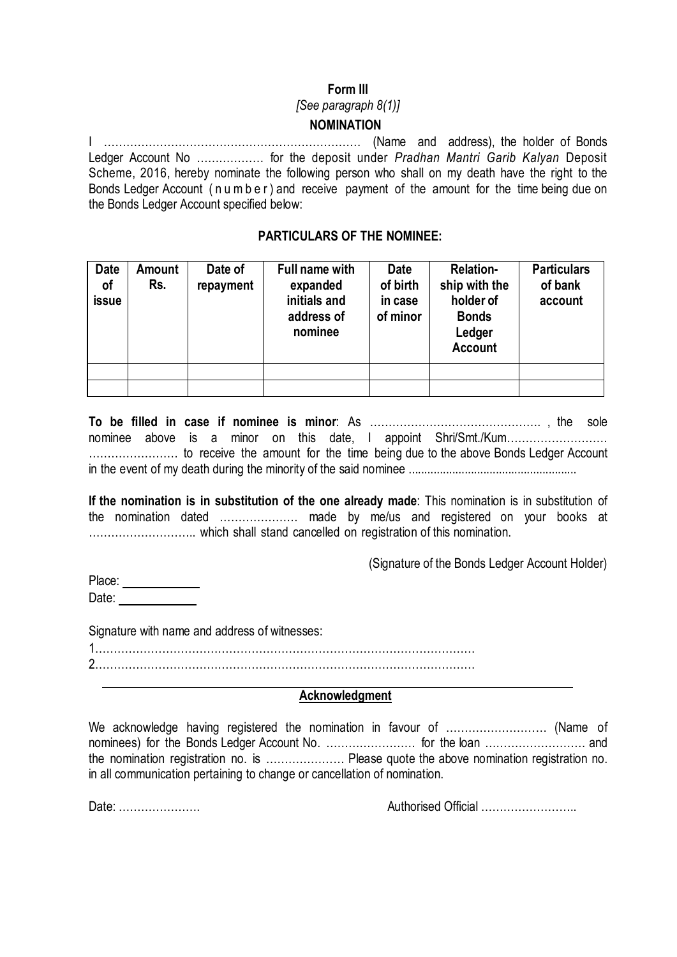## **Form III**

#### *[See paragraph 8(1)]*

## **NOMINATION**

I …………………………………………………………… (Name and address), the holder of Bonds Ledger Account No ……………… for the deposit under *Pradhan Mantri Garib Kalyan* Deposit Scheme, 2016, hereby nominate the following person who shall on my death have the right to the Bonds Ledger Account ( n u m b e r ) and receive payment of the amount for the time being due on the Bonds Ledger Account specified below:

## **PARTICULARS OF THE NOMINEE:**

| <b>Date</b><br>of<br>issue | <b>Amount</b><br>Rs. | Date of<br>repayment | Full name with<br>expanded<br>initials and<br>address of<br>nominee | <b>Date</b><br>of birth<br>in case<br>of minor | <b>Relation-</b><br>ship with the<br>holder of<br><b>Bonds</b><br>Ledger<br><b>Account</b> | <b>Particulars</b><br>of bank<br>account |
|----------------------------|----------------------|----------------------|---------------------------------------------------------------------|------------------------------------------------|--------------------------------------------------------------------------------------------|------------------------------------------|
|                            |                      |                      |                                                                     |                                                |                                                                                            |                                          |
|                            |                      |                      |                                                                     |                                                |                                                                                            |                                          |

**To be filled in case if nominee is minor**: As ………………………………………. , the sole nominee above is a minor on this date, I appoint Shri/Smt./Kum……………………… …………………… to receive the amount for the time being due to the above Bonds Ledger Account in the event of my death during the minority of the said nominee ......................................................

**If the nomination is in substitution of the one already made**: This nomination is in substitution of the nomination dated ………………… made by me/us and registered on your books at ……………………….. which shall stand cancelled on registration of this nomination.

(Signature of the Bonds Ledger Account Holder)

Place: **Place:** Date:

Signature with name and address of witnesses:

1………………………………………………………………………………………… 2…………………………………………………………………………………………

### **Acknowledgment**

We acknowledge having registered the nomination in favour of ……………………… (Name of nominees) for the Bonds Ledger Account No. …………………… for the loan ………………………………………… and the nomination registration no. is ………………… Please quote the above nomination registration no. in all communication pertaining to change or cancellation of nomination.

Date: …………………. Authorised Official ……………………..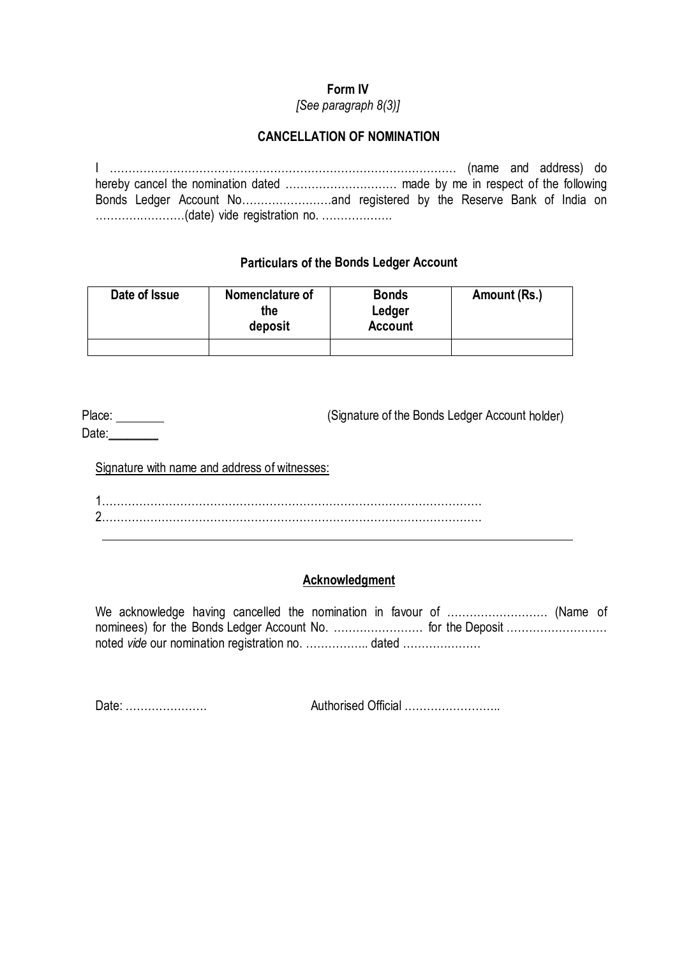# **Form IV**

*[See paragraph 8(3)]*

# **CANCELLATION OF NOMINATION**

I ………………………………………………………………………………… (name and address) do hereby cancel the nomination dated ………………………… made by me in respect of the following Bonds Ledger Account No……………………and registered by the Reserve Bank of India on ……………………(date) vide registration no. ……………….

# **Particulars of the Bonds Ledger Account**

| Date of Issue | Nomenclature of<br>the<br>deposit | <b>Bonds</b><br>Ledger<br><b>Account</b> | Amount (Rs.) |  |  |  |
|---------------|-----------------------------------|------------------------------------------|--------------|--|--|--|
|               |                                   |                                          |              |  |  |  |

Place: (Signature of the Bonds Ledger Account holder) Date:

Signature with name and address of witnesses:

1………………………………………………………………………………………… 2…………………………………………………………………………………………

# **Acknowledgment**

We acknowledge having cancelled the nomination in favour of ……………………… (Name of nominees) for the Bonds Ledger Account No. ………………………… for the Deposit ………………………… noted *vide* our nomination registration no. …………….. dated …………………

Date: …………………. Authorised Official ……………………..